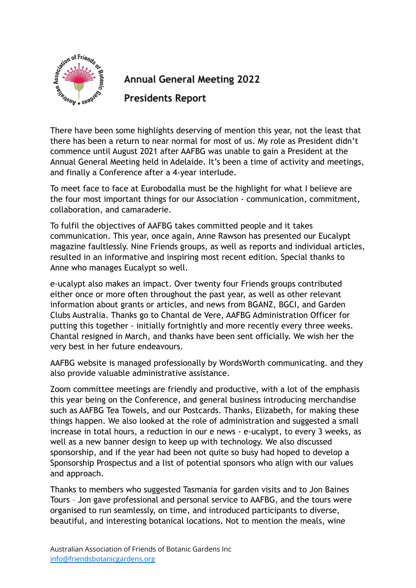

## **Annual General Meeting 2022**

**Presidents Report** 

There have been some highlights deserving of mention this year, not the least that there has been a return to near normal for most of us. My role as President didn't commence until August 2021 after AAFBG was unable to gain a President at the Annual General Meeting held in Adelaide. It's been a time of activity and meetings, and finally a Conference after a 4-year interlude.

To meet face to face at Eurobodalla must be the highlight for what I believe are the four most important things for our Association - communication, commitment, collaboration, and camaraderie.

To fulfil the objectives of AAFBG takes committed people and it takes communication. This year, once again, Anne Rawson has presented our Eucalypt magazine faultlessly. Nine Friends groups, as well as reports and individual articles, resulted in an informative and inspiring most recent edition. Special thanks to Anne who manages Eucalypt so well.

e-ucalypt also makes an impact. Over twenty four Friends groups contributed either once or more often throughout the past year, as well as other relevant information about grants or articles, and news from BGANZ, BGCI, and Garden Clubs Australia. Thanks go to Chantal de Vere, AAFBG Administration Officer for putting this together - initially fortnightly and more recently every three weeks. Chantal resigned in March, and thanks have been sent officially. We wish her the very best in her future endeavours.

AAFBG website is managed professionally by WordsWorth communicating. and they also provide valuable administrative assistance.

Zoom committee meetings are friendly and productive, with a lot of the emphasis this year being on the Conference, and general business introducing merchandise such as AAFBG Tea Towels, and our Postcards. Thanks, Elizabeth, for making these things happen. We also looked at the role of administration and suggested a small increase in total hours, a reduction in our e news - e-ucalypt, to every 3 weeks, as well as a new banner design to keep up with technology. We also discussed sponsorship, and if the year had been not quite so busy had hoped to develop a Sponsorship Prospectus and a list of potential sponsors who align with our values and approach.

Thanks to members who suggested Tasmania for garden visits and to Jon Baines Tours – Jon gave professional and personal service to AAFBG, and the tours were organised to run seamlessly, on time, and introduced participants to diverse, beautiful, and interesting botanical locations. Not to mention the meals, wine